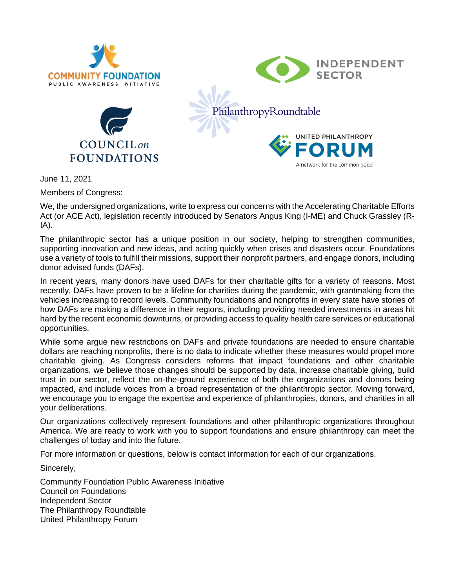

June 11, 2021

Members of Congress:

We, the undersigned organizations, write to express our concerns with the Accelerating Charitable Efforts Act (or ACE Act), legislation recently introduced by Senators Angus King (I-ME) and Chuck Grassley (R-IA).

The philanthropic sector has a unique position in our society, helping to strengthen communities, supporting innovation and new ideas, and acting quickly when crises and disasters occur. Foundations use a variety of tools to fulfill their missions, support their nonprofit partners, and engage donors, including donor advised funds (DAFs).

In recent years, many donors have used DAFs for their charitable gifts for a variety of reasons. Most recently, DAFs have proven to be a lifeline for charities during the pandemic, with grantmaking from the vehicles increasing to record levels. Community foundations and nonprofits in every state have stories of how DAFs are making a difference in their regions, including providing needed investments in areas hit hard by the recent economic downturns, or providing access to quality health care services or educational opportunities.

While some argue new restrictions on DAFs and private foundations are needed to ensure charitable dollars are reaching nonprofits, there is no data to indicate whether these measures would propel more charitable giving. As Congress considers reforms that impact foundations and other charitable organizations, we believe those changes should be supported by data, increase charitable giving, build trust in our sector, reflect the on-the-ground experience of both the organizations and donors being impacted, and include voices from a broad representation of the philanthropic sector. Moving forward, we encourage you to engage the expertise and experience of philanthropies, donors, and charities in all your deliberations.

Our organizations collectively represent foundations and other philanthropic organizations throughout America. We are ready to work with you to support foundations and ensure philanthropy can meet the challenges of today and into the future.  

For more information or questions, below is contact information for each of our organizations.

Sincerely,

Community Foundation Public Awareness Initiative Council on Foundations Independent Sector The Philanthropy Roundtable United Philanthropy Forum